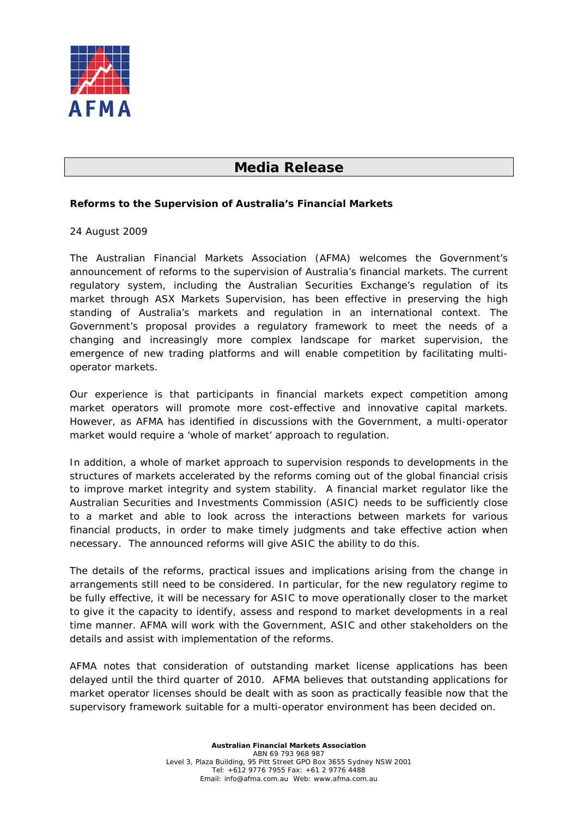

## **Media Release**

## **Reforms to the Supervision of Australia's Financial Markets**

## 24 August 2009

The Australian Financial Markets Association (AFMA) welcomes the Government's announcement of reforms to the supervision of Australia's financial markets. The current regulatory system, including the Australian Securities Exchange's regulation of its market through ASX Markets Supervision, has been effective in preserving the high standing of Australia's markets and regulation in an international context. The Government's proposal provides a regulatory framework to meet the needs of a changing and increasingly more complex landscape for market supervision, the emergence of new trading platforms and will enable competition by facilitating multioperator markets.

Our experience is that participants in financial markets expect competition among market operators will promote more cost-effective and innovative capital markets. However, as AFMA has identified in discussions with the Government, a multi-operator market would require a 'whole of market' approach to regulation.

In addition, a whole of market approach to supervision responds to developments in the structures of markets accelerated by the reforms coming out of the global financial crisis to improve market integrity and system stability. A financial market regulator like the Australian Securities and Investments Commission (ASIC) needs to be sufficiently close to a market and able to look across the interactions between markets for various financial products, in order to make timely judgments and take effective action when necessary. The announced reforms will give ASIC the ability to do this.

The details of the reforms, practical issues and implications arising from the change in arrangements still need to be considered. In particular, for the new regulatory regime to be fully effective, it will be necessary for ASIC to move operationally closer to the market to give it the capacity to identify, assess and respond to market developments in a real time manner. AFMA will work with the Government, ASIC and other stakeholders on the details and assist with implementation of the reforms.

AFMA notes that consideration of outstanding market license applications has been delayed until the third quarter of 2010. AFMA believes that outstanding applications for market operator licenses should be dealt with as soon as practically feasible now that the supervisory framework suitable for a multi-operator environment has been decided on.